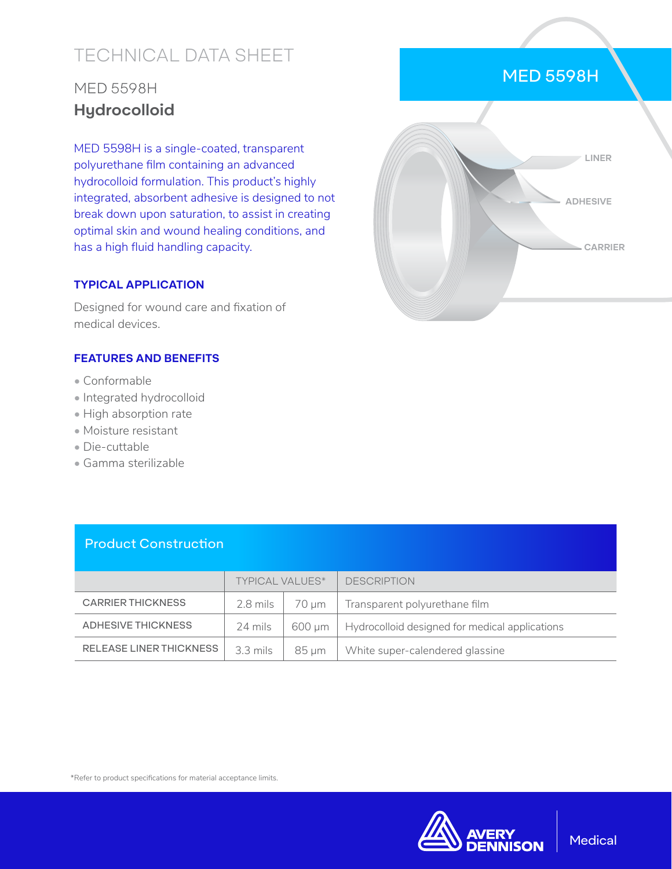# TECHNICAL DATA SHEET

## MED 5598H **Hydrocolloid**

MED 5598H is a single-coated, transparent polyurethane film containing an advanced hydrocolloid formulation. This product's highly integrated, absorbent adhesive is designed to not break down upon saturation, to assist in creating optimal skin and wound healing conditions, and has a high fluid handling capacity.

#### **TYPICAL APPLICATION**

Designed for wound care and fixation of medical devices.

#### **FEATURES AND BENEFITS**

- Conformable
- Integrated hydrocolloid
- High absorption rate
- Moisture resistant
- Die-cuttable
- Gamma sterilizable



MED 5598H

#### Product Construction

|                          | <b>TYPICAL VALUES*</b> |        | <b>DESCRIPTION</b>                             |
|--------------------------|------------------------|--------|------------------------------------------------|
| <b>CARRIER THICKNESS</b> | 2.8 mils               | 70 um  | Transparent polyurethane film                  |
| ADHESIVE THICKNESS       | 24 mils                | 600 um | Hydrocolloid designed for medical applications |
| RELEASE LINER THICKNESS  | 3.3 mils               | 85 um  | White super-calendered glassine                |